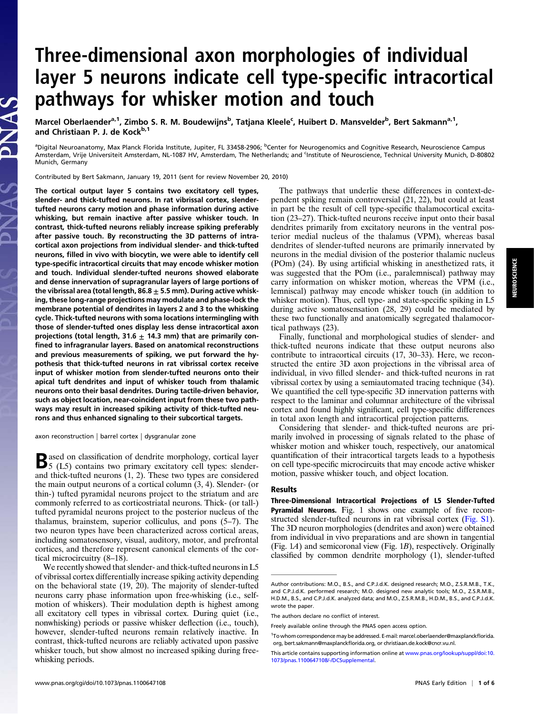# Three-dimensional axon morphologies of individual layer 5 neurons indicate cell type-specific intracortical pathways for whisker motion and touch

Marcel Oberlaender<sup>a, 1</sup>, Zimbo S. R. M. Boudewijns<sup>b</sup>, Tatjana Kleele<sup>c</sup>, Huibert D. Mansvelder<sup>b</sup>, Bert Sakmann<sup>a, 1</sup>, and Christiaan P. J. de Kock<sup>b,1</sup>

<sup>a</sup>Digital Neuroanatomy, Max Planck Florida Institute, Jupiter, FL 33458-2906; <sup>b</sup>Center for Neurogenomics and Cognitive Research, Neuroscience Campus Amsterdam, Vrije Universiteit Amsterdam, NL-1087 HV, Amsterdam, The Netherlands; and <sup>c</sup>institute of Neuroscience, Technical University Munich, D-80802 Munich, Germany

Contributed by Bert Sakmann, January 19, 2011 (sent for review November 20, 2010)

The cortical output layer 5 contains two excitatory cell types, slender- and thick-tufted neurons. In rat vibrissal cortex, slendertufted neurons carry motion and phase information during active whisking, but remain inactive after passive whisker touch. In contrast, thick-tufted neurons reliably increase spiking preferably after passive touch. By reconstructing the 3D patterns of intracortical axon projections from individual slender- and thick-tufted neurons, filled in vivo with biocytin, we were able to identify cell type-specific intracortical circuits that may encode whisker motion and touch. Individual slender-tufted neurons showed elaborate and dense innervation of supragranular layers of large portions of the vibrissal area (total length, 86.8  $\pm$  5.5 mm). During active whisking, these long-range projections may modulate and phase-lock the membrane potential of dendrites in layers 2 and 3 to the whisking cycle. Thick-tufted neurons with soma locations intermingling with those of slender-tufted ones display less dense intracortical axon projections (total length, 31.6  $\pm$  14.3 mm) that are primarily confined to infragranular layers. Based on anatomical reconstructions and previous measurements of spiking, we put forward the hypothesis that thick-tufted neurons in rat vibrissal cortex receive input of whisker motion from slender-tufted neurons onto their apical tuft dendrites and input of whisker touch from thalamic neurons onto their basal dendrites. During tactile-driven behavior, such as object location, near-coincident input from these two pathways may result in increased spiking activity of thick-tufted neurons and thus enhanced signaling to their subcortical targets.

axon reconstruction | barrel cortex | dysgranular zone

**B**ased on classification of dendrite morphology, cortical layer<br>5 (L5) contains two primary excitatory cell types: slenderand thick-tufted neurons (1, 2). These two types are considered the main output neurons of a cortical column (3, 4). Slender- (or thin-) tufted pyramidal neurons project to the striatum and are commonly referred to as corticostriatal neurons. Thick- (or tall-) tufted pyramidal neurons project to the posterior nucleus of the thalamus, brainstem, superior colliculus, and pons (5–7). The two neuron types have been characterized across cortical areas, including somatosensory, visual, auditory, motor, and prefrontal cortices, and therefore represent canonical elements of the cortical microcircuitry (8–18).

We recently showed that slender- and thick-tufted neurons in L5 of vibrissal cortex differentially increase spiking activity depending on the behavioral state (19, 20). The majority of slender-tufted neurons carry phase information upon free-whisking (i.e., selfmotion of whiskers). Their modulation depth is highest among all excitatory cell types in vibrissal cortex. During quiet (i.e., nonwhisking) periods or passive whisker deflection (i.e., touch), however, slender-tufted neurons remain relatively inactive. In contrast, thick-tufted neurons are reliably activated upon passive whisker touch, but show almost no increased spiking during freewhisking periods.

The pathways that underlie these differences in context-dependent spiking remain controversial (21, 22), but could at least in part be the result of cell type-specific thalamocortical excitation (23–27). Thick-tufted neurons receive input onto their basal dendrites primarily from excitatory neurons in the ventral posterior medial nucleus of the thalamus (VPM), whereas basal dendrites of slender-tufted neurons are primarily innervated by neurons in the medial division of the posterior thalamic nucleus (POm) (24). By using artificial whisking in anesthetized rats, it was suggested that the POm (i.e., paralemniscal) pathway may carry information on whisker motion, whereas the VPM (i.e., lemniscal) pathway may encode whisker touch (in addition to whisker motion). Thus, cell type- and state-specific spiking in L5 during active somatosensation (28, 29) could be mediated by these two functionally and anatomically segregated thalamocortical pathways (23).

Finally, functional and morphological studies of slender- and thick-tufted neurons indicate that these output neurons also contribute to intracortical circuits (17, 30–33). Here, we reconstructed the entire 3D axon projections in the vibrissal area of individual, in vivo filled slender- and thick-tufted neurons in rat vibrissal cortex by using a semiautomated tracing technique (34). We quantified the cell type-specific 3D innervation patterns with respect to the laminar and columnar architecture of the vibrissal cortex and found highly significant, cell type-specific differences in total axon length and intracortical projection patterns.

Considering that slender- and thick-tufted neurons are primarily involved in processing of signals related to the phase of whisker motion and whisker touch, respectively, our anatomical quantification of their intracortical targets leads to a hypothesis on cell type-specific microcircuits that may encode active whisker motion, passive whisker touch, and object location.

### Results

Three-Dimensional Intracortical Projections of L5 Slender-Tufted Pyramidal Neurons. Fig. 1 shows one example of five reconstructed slender-tufted neurons in rat vibrissal cortex [\(Fig. S1](http://www.pnas.org/lookup/suppl/doi:10.1073/pnas.1100647108/-/DCSupplemental/pnas.201100647SI.pdf?targetid=nameddest=SF1)). The 3D neuron morphologies (dendrites and axon) were obtained from individual in vivo preparations and are shown in tangential (Fig. 1A) and semicoronal view (Fig. 1B), respectively. Originally classified by common dendrite morphology (1), slender-tufted

Author contributions: M.O., B.S., and C.P.J.d.K. designed research; M.O., Z.S.R.M.B., T.K., and C.P.J.d.K. performed research; M.O. designed new analytic tools; M.O., Z.S.R.M.B., H.D.M., B.S., and C.P.J.d.K. analyzed data; and M.O., Z.S.R.M.B., H.D.M., B.S., and C.P.J.d.K. wrote the paper.

The authors declare no conflict of interest.

Freely available online through the PNAS open access option.

<sup>&</sup>lt;sup>1</sup>To whom correspondence may be addressed. E-mail: [marcel.oberlaender@maxplanck](mailto:marcel.oberlaender@maxplanckflorida.org)florida. [org,](mailto:marcel.oberlaender@maxplanckflorida.org) [bert.sakmann@maxplanck](mailto:bert.sakmann@maxplanckflorida.org)florida.org, or [christiaan.de.kock@cncr.vu.nl](mailto:christiaan.de.kock@cncr.vu.nl).

This article contains supporting information online at [www.pnas.org/lookup/suppl/doi:10.](http://www.pnas.org/lookup/suppl/doi:10.1073/pnas.1100647108/-/DCSupplemental) [1073/pnas.1100647108/-/DCSupplemental](http://www.pnas.org/lookup/suppl/doi:10.1073/pnas.1100647108/-/DCSupplemental).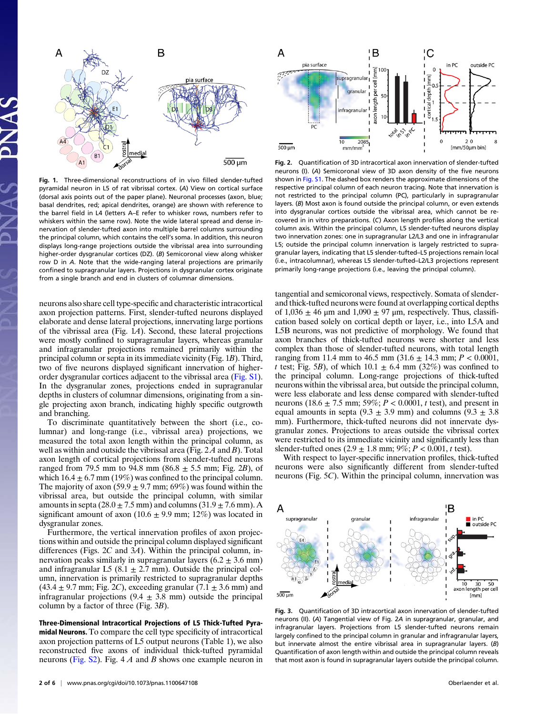

Fig. 1. Three-dimensional reconstructions of in vivo filled slender-tufted pyramidal neuron in L5 of rat vibrissal cortex. (A) View on cortical surface (dorsal axis points out of the paper plane). Neuronal processes (axon, blue; basal dendrites, red; apical dendrites, orange) are shown with reference to the barrel field in L4 (letters A–E refer to whisker rows, numbers refer to whiskers within the same row). Note the wide lateral spread and dense innervation of slender-tufted axon into multiple barrel columns surrounding the principal column, which contains the cell's soma. In addition, this neuron displays long-range projections outside the vibrissal area into surrounding higher-order dysgranular cortices (DZ). (B) Semicoronal view along whisker row D in A. Note that the wide-ranging lateral projections are primarily confined to supragranular layers. Projections in dysgranular cortex originate from a single branch and end in clusters of columnar dimensions.

neurons also share cell type-specific and characteristic intracortical axon projection patterns. First, slender-tufted neurons displayed elaborate and dense lateral projections, innervating large portions of the vibrissal area (Fig. 1A). Second, these lateral projections were mostly confined to supragranular layers, whereas granular and infragranular projections remained primarily within the principal column or septa in its immediate vicinity (Fig. 1B). Third, two of five neurons displayed significant innervation of higherorder dysgranular cortices adjacent to the vibrissal area [\(Fig. S1](http://www.pnas.org/lookup/suppl/doi:10.1073/pnas.1100647108/-/DCSupplemental/pnas.201100647SI.pdf?targetid=nameddest=SF1)). In the dysgranular zones, projections ended in supragranular depths in clusters of columnar dimensions, originating from a single projecting axon branch, indicating highly specific outgrowth and branching.

To discriminate quantitatively between the short (i.e., columnar) and long-range (i.e., vibrissal area) projections, we measured the total axon length within the principal column, as well as within and outside the vibrissal area (Fig.  $2A$  and B). Total axon length of cortical projections from slender-tufted neurons ranged from 79.5 mm to 94.8 mm (86.8  $\pm$  5.5 mm; Fig. 2B), of which  $16.4 \pm 6.7$  mm (19%) was confined to the principal column. The majority of axon (59.9  $\pm$  9.7 mm; 69%) was found within the vibrissal area, but outside the principal column, with similar amounts in septa  $(28.0 \pm 7.5 \text{ mm})$  and columns  $(31.9 \pm 7.6 \text{ mm})$ . A significant amount of axon (10.6  $\pm$  9.9 mm; 12%) was located in dysgranular zones.

Furthermore, the vertical innervation profiles of axon projections within and outside the principal column displayed significant differences (Figs.  $2C$  and  $3A$ ). Within the principal column, innervation peaks similarly in supragranular layers  $(6.2 \pm 3.6 \text{ mm})$ and infragranular L5 (8.1  $\pm$  2.7 mm). Outside the principal column, innervation is primarily restricted to supragranular depths  $(43.4 \pm 9.7 \text{ mm})$ ; Fig. 2C), exceeding granular  $(7.1 \pm 3.6 \text{ mm})$  and infragranular projections  $(9.4 \pm 3.8 \text{ mm})$  outside the principal column by a factor of three (Fig. 3B).

Three-Dimensional Intracortical Projections of L5 Thick-Tufted Pyramidal Neurons. To compare the cell type specificity of intracortical axon projection patterns of L5 output neurons (Table 1), we also reconstructed five axons of individual thick-tufted pyramidal neurons ([Fig. S2](http://www.pnas.org/lookup/suppl/doi:10.1073/pnas.1100647108/-/DCSupplemental/pnas.201100647SI.pdf?targetid=nameddest=SF2)). Fig.  $4A$  and B shows one example neuron in



Fig. 2. Quantification of 3D intracortical axon innervation of slender-tufted neurons (I). (A) Semicoronal view of 3D axon density of the five neurons shown in [Fig. S1.](http://www.pnas.org/lookup/suppl/doi:10.1073/pnas.1100647108/-/DCSupplemental/pnas.201100647SI.pdf?targetid=nameddest=SF1) The dashed box renders the approximate dimensions of the respective principal column of each neuron tracing. Note that innervation is not restricted to the principal column (PC), particularly in supragranular layers. (B) Most axon is found outside the principal column, or even extends into dysgranular cortices outside the vibrissal area, which cannot be recovered in in vitro preparations. (C) Axon length profiles along the vertical column axis. Within the principal column, L5 slender-tufted neurons display two innervation zones: one in supragranular L2/L3 and one in infragranular L5; outside the principal column innervation is largely restricted to supragranular layers, indicating that L5 slender-tufted–L5 projections remain local (i.e., intracolumnar), whereas L5 slender-tufted–L2/L3 projections represent primarily long-range projections (i.e., leaving the principal column).

tangential and semicoronal views, respectively. Somata of slenderand thick-tufted neurons were found at overlapping cortical depths of  $1,036 \pm 46$  µm and  $1,090 \pm 97$  µm, respectively. Thus, classification based solely on cortical depth or layer, i.e., into L5A and L5B neurons, was not predictive of morphology. We found that axon branches of thick-tufted neurons were shorter and less complex than those of slender-tufted neurons, with total length ranging from 11.4 mm to 46.5 mm  $(31.6 \pm 14.3 \text{ mm}; P < 0.0001,$ t test; Fig. 5B), of which  $10.1 \pm 6.4$  mm (32%) was confined to the principal column. Long-range projections of thick-tufted neurons within the vibrissal area, but outside the principal column, were less elaborate and less dense compared with slender-tufted neurons (18.6  $\pm$  7.5 mm; 59%; P < 0.0001, t test), and present in equal amounts in septa (9.3  $\pm$  3.9 mm) and columns (9.3  $\pm$  3.8 mm). Furthermore, thick-tufted neurons did not innervate dysgranular zones. Projections to areas outside the vibrissal cortex were restricted to its immediate vicinity and significantly less than slender-tufted ones  $(2.9 \pm 1.8 \text{ mm}; 9\%; P < 0.001, t \text{ test})$ .

With respect to layer-specific innervation profiles, thick-tufted neurons were also significantly different from slender-tufted neurons (Fig. 5C). Within the principal column, innervation was



Fig. 3. Quantification of 3D intracortical axon innervation of slender-tufted neurons (II). (A) Tangential view of Fig. 2A in supragranular, granular, and infragranular layers. Projections from L5 slender-tufted neurons remain largely confined to the principal column in granular and infragranular layers, but innervate almost the entire vibrissal area in supragranular layers. (B) Quantification of axon length within and outside the principal column reveals that most axon is found in supragranular layers outside the principal column.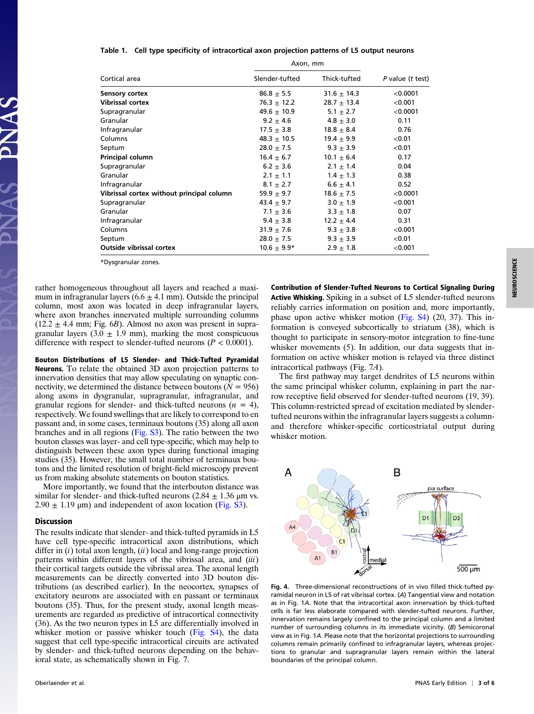#### Table 1. Cell type specificity of intracortical axon projection patterns of L5 output neurons

| Cortical area                             | Axon, mm        |                 |                  |
|-------------------------------------------|-----------------|-----------------|------------------|
|                                           | Slender-tufted  | Thick-tufted    | P value (t test) |
| Sensory cortex                            | $86.8 + 5.5$    | $31.6 \pm 14.3$ | < 0.0001         |
| <b>Vibrissal cortex</b>                   | $76.3 \pm 12.2$ | $28.7 \pm 13.4$ | < 0.001          |
| Supragranular                             | 49.6 $\pm$ 10.9 | 5.1 $\pm$ 2.7   | < 0.0001         |
| Granular                                  | $9.2 \pm 4.6$   | $4.8 \pm 3.0$   | 0.11             |
| Infragranular                             | $17.5 + 3.8$    | $18.8 \pm 8.4$  | 0.76             |
| Columns                                   | $48.3 \pm 10.5$ | $19.4 \pm 9.9$  | < 0.01           |
| Septum                                    | $28.0 \pm 7.5$  | $9.3 \pm 3.9$   | < 0.01           |
| Principal column                          | $16.4 \pm 6.7$  | $10.1 \pm 6.4$  | 0.17             |
| Supragranular                             | $6.2 \pm 3.6$   | $2.1 \pm 1.4$   | 0.04             |
| Granular                                  | $2.1 \pm 1.1$   | $1.4 \pm 1.3$   | 0.38             |
| Infragranular                             | $8.1 \pm 2.7$   | $6.6 \pm 4.1$   | 0.52             |
| Vibrissal cortex without principal column | 59.9 $\pm$ 9.7  | $18.6 \pm 7.5$  | < 0.0001         |
| Supragranular                             | 43.4 $\pm$ 9.7  | $3.0 \pm 1.9$   | < 0.001          |
| Granular                                  | $7.1 \pm 3.6$   | $3.3 \pm 1.8$   | 0.07             |
| Infragranular                             | $9.4 \pm 3.8$   | $12.2 \pm 4.4$  | 0.31             |
| Columns                                   | $31.9 \pm 7.6$  | $9.3 \pm 3.8$   | < 0.001          |
| Septum                                    | $28.0 \pm 7.5$  | $9.3 \pm 3.9$   | < 0.01           |
| <b>Outside vibrissal cortex</b>           | $10.6 \pm 9.9*$ | $2.9 \pm 1.8$   | < 0.001          |

\*Dysgranular zones.

rather homogeneous throughout all layers and reached a maximum in infragranular layers  $(6.6 \pm 4.1 \text{ mm})$ . Outside the principal column, most axon was located in deep infragranular layers, where axon branches innervated multiple surrounding columns  $(12.2 \pm 4.4 \text{ mm})$ ; Fig. 6B). Almost no axon was present in supragranular layers  $(3.0 \pm 1.9 \text{ mm})$ , marking the most conspicuous difference with respect to slender-tufted neurons ( $P < 0.0001$ ).

Bouton Distributions of L5 Slender- and Thick-Tufted Pyramidal Neurons. To relate the obtained 3D axon projection patterns to innervation densities that may allow speculating on synaptic connectivity, we determined the distance between boutons ( $N = 956$ ) along axons in dysgranular, supragranular, infragranular, and granular regions for slender- and thick-tufted neurons  $(n = 4)$ , respectively. We found swellings that are likely to correspond to en passant and, in some cases, terminaux boutons (35) along all axon branches and in all regions [\(Fig. S3\)](http://www.pnas.org/lookup/suppl/doi:10.1073/pnas.1100647108/-/DCSupplemental/pnas.201100647SI.pdf?targetid=nameddest=SF3). The ratio between the two bouton classes was layer- and cell type-specific, which may help to distinguish between these axon types during functional imaging studies (35). However, the small total number of terminaux boutons and the limited resolution of bright-field microscopy prevent us from making absolute statements on bouton statistics.

More importantly, we found that the interbouton distance was similar for slender- and thick-tufted neurons  $(2.84 \pm 1.36 \,\mu m \text{ vs.})$  $2.90 \pm 1.19$  μm) and independent of axon location [\(Fig. S3](http://www.pnas.org/lookup/suppl/doi:10.1073/pnas.1100647108/-/DCSupplemental/pnas.201100647SI.pdf?targetid=nameddest=SF3)).

## Discussion

The results indicate that slender- and thick-tufted pyramids in L5 have cell type-specific intracortical axon distributions, which differ in  $(i)$  total axon length,  $(ii)$  local and long-range projection patterns within different layers of the vibrissal area, and  $(iii)$ their cortical targets outside the vibrissal area. The axonal length measurements can be directly converted into 3D bouton distributions (as described earlier). In the neocortex, synapses of excitatory neurons are associated with en passant or terminaux boutons (35). Thus, for the present study, axonal length measurements are regarded as predictive of intracortical connectivity (36). As the two neuron types in L5 are differentially involved in whisker motion or passive whisker touch [\(Fig. S4\)](http://www.pnas.org/lookup/suppl/doi:10.1073/pnas.1100647108/-/DCSupplemental/pnas.201100647SI.pdf?targetid=nameddest=SF4), the data suggest that cell type-specific intracortical circuits are activated by slender- and thick-tufted neurons depending on the behavioral state, as schematically shown in Fig. 7.

Contribution of Slender-Tufted Neurons to Cortical Signaling During Active Whisking. Spiking in a subset of L5 slender-tufted neurons reliably carries information on position and, more importantly, phase upon active whisker motion [\(Fig. S4](http://www.pnas.org/lookup/suppl/doi:10.1073/pnas.1100647108/-/DCSupplemental/pnas.201100647SI.pdf?targetid=nameddest=SF4)) (20, 37). This information is conveyed subcortically to striatum (38), which is thought to participate in sensory-motor integration to fine-tune whisker movements (5). In addition, our data suggests that information on active whisker motion is relayed via three distinct intracortical pathways (Fig. 7A).

The first pathway may target dendrites of L5 neurons within the same principal whisker column, explaining in part the narrow receptive field observed for slender-tufted neurons (19, 39). This column-restricted spread of excitation mediated by slendertufted neurons within the infragranular layers suggests a columnand therefore whisker-specific corticostriatal output during whisker motion.



Fig. 4. Three-dimensional reconstructions of in vivo filled thick-tufted pyramidal neuron in L5 of rat vibrissal cortex. (A) Tangential view and notation as in Fig. 1A. Note that the intracortical axon innervation by thick-tufted cells is far less elaborate compared with slender-tufted neurons. Further, innervation remains largely confined to the principal column and a limited number of surrounding columns in its immediate vicinity. (B) Semicoronal view as in Fig. 1A. Please note that the horizontal projections to surrounding columns remain primarily confined to infragranular layers, whereas projections to granular and supragranular layers remain within the lateral boundaries of the principal column.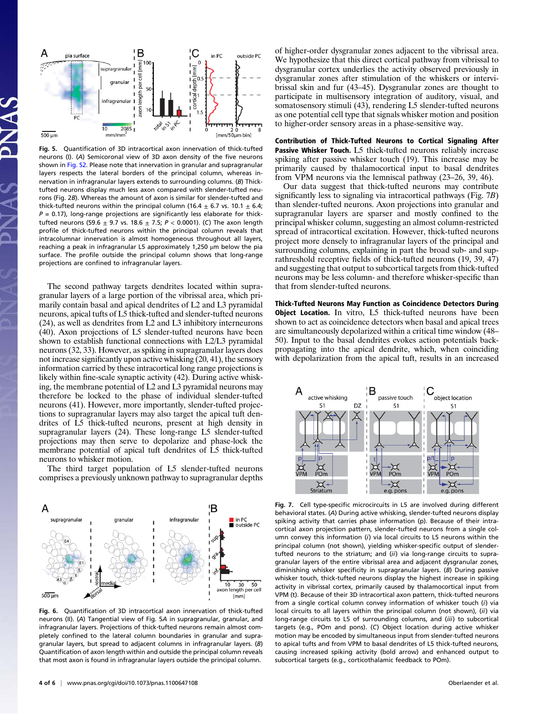

Fig. 5. Quantification of 3D intracortical axon innervation of thick-tufted neurons (I). (A) Semicoronal view of 3D axon density of the five neurons shown in [Fig. S2](http://www.pnas.org/lookup/suppl/doi:10.1073/pnas.1100647108/-/DCSupplemental/pnas.201100647SI.pdf?targetid=nameddest=SF2). Please note that innervation in granular and supragranular layers respects the lateral borders of the principal column, whereas innervation in infragranular layers extends to surrounding columns. (B) Thicktufted neurons display much less axon compared with slender-tufted neurons (Fig. 2B). Whereas the amount of axon is similar for slender-tufted and thick-tufted neurons within the principal column (16.4  $\pm$  6.7 vs. 10.1  $\pm$  6.4;  $P = 0.17$ ), long-range projections are significantly less elaborate for thicktufted neurons (59.6  $\pm$  9.7 vs. 18.6  $\pm$  7.5; P < 0.0001). (C) The axon length profile of thick-tufted neurons within the principal column reveals that intracolumnar innervation is almost homogeneous throughout all layers, reaching a peak in infragranular L5 approximately 1,250 μm below the pia surface. The profile outside the principal column shows that long-range projections are confined to infragranular layers.

The second pathway targets dendrites located within supragranular layers of a large portion of the vibrissal area, which primarily contain basal and apical dendrites of L2 and L3 pyramidal neurons, apical tufts of L5 thick-tufted and slender-tufted neurons (24), as well as dendrites from L2 and L3 inhibitory interneurons (40). Axon projections of L5 slender-tufted neurons have been shown to establish functional connections with L2/L3 pyramidal neurons (32, 33). However, as spiking in supragranular layers does not increase significantly upon active whisking (20, 41), the sensory information carried by these intracortical long range projections is likely within fine-scale synaptic activity (42). During active whisking, the membrane potential of L2 and L3 pyramidal neurons may therefore be locked to the phase of individual slender-tufted neurons (41). However, more importantly, slender-tufted projections to supragranular layers may also target the apical tuft dendrites of L5 thick-tufted neurons, present at high density in supragranular layers (24). These long-range L5 slender-tufted projections may then serve to depolarize and phase-lock the membrane potential of apical tuft dendrites of L5 thick-tufted neurons to whisker motion.

The third target population of L5 slender-tufted neurons comprises a previously unknown pathway to supragranular depths



Fig. 6. Quantification of 3D intracortical axon innervation of thick-tufted neurons (II). (A) Tangential view of Fig. 5A in supragranular, granular, and infragranular layers. Projections of thick-tufted neurons remain almost completely confined to the lateral column boundaries in granular and supragranular layers, but spread to adjacent columns in infragranular layers. (B) Quantification of axon length within and outside the principal column reveals that most axon is found in infragranular layers outside the principal column.

of higher-order dysgranular zones adjacent to the vibrissal area. We hypothesize that this direct cortical pathway from vibrissal to dysgranular cortex underlies the activity observed previously in dysgranular zones after stimulation of the whiskers or intervibrissal skin and fur (43–45). Dysgranular zones are thought to participate in multisensory integration of auditory, visual, and somatosensory stimuli (43), rendering L5 slender-tufted neurons as one potential cell type that signals whisker motion and position to higher-order sensory areas in a phase-sensitive way.

Contribution of Thick-Tufted Neurons to Cortical Signaling After Passive Whisker Touch. L5 thick-tufted neurons reliably increase spiking after passive whisker touch (19). This increase may be primarily caused by thalamocortical input to basal dendrites from VPM neurons via the lemniscal pathway (23–26, 39, 46).

Our data suggest that thick-tufted neurons may contribute significantly less to signaling via intracortical pathways (Fig. 7B) than slender-tufted neurons. Axon projections into granular and supragranular layers are sparser and mostly confined to the principal whisker column, suggesting an almost column-restricted spread of intracortical excitation. However, thick-tufted neurons project more densely to infragranular layers of the principal and surrounding columns, explaining in part the broad sub- and suprathreshold receptive fields of thick-tufted neurons (19, 39, 47) and suggesting that output to subcortical targets from thick-tufted neurons may be less column- and therefore whisker-specific than that from slender-tufted neurons.

Thick-Tufted Neurons May Function as Coincidence Detectors During Object Location. In vitro, L5 thick-tufted neurons have been shown to act as coincidence detectors when basal and apical trees are simultaneously depolarized within a critical time window (48– 50). Input to the basal dendrites evokes action potentials backpropagating into the apical dendrite, which, when coinciding with depolarization from the apical tuft, results in an increased



Fig. 7. Cell type-specific microcircuits in L5 are involved during different behavioral states. (A) During active whisking, slender-tufted neurons display spiking activity that carries phase information (p). Because of their intracortical axon projection pattern, slender-tufted neurons from a single column convey this information (i) via local circuits to L5 neurons within the principal column (not shown), yielding whisker-specific output of slendertufted neurons to the striatum; and (ii) via long-range circuits to supragranular layers of the entire vibrissal area and adjacent dysgranular zones, diminishing whisker specificity in supragranular layers. (B) During passive whisker touch, thick-tufted neurons display the highest increase in spiking activity in vibrissal cortex, primarily caused by thalamocortical input from VPM (t). Because of their 3D intracortical axon pattern, thick-tufted neurons from a single cortical column convey information of whisker touch (i) via local circuits to all layers within the principal column (not shown), (ii) via long-range circuits to L5 of surrounding columns, and (iii) to subcortical targets (e.g., POm and pons). (C) Object location during active whisker motion may be encoded by simultaneous input from slender-tufted neurons to apical tufts and from VPM to basal dendrites of L5 thick-tufted neurons, causing increased spiking activity (bold arrow) and enhanced output to subcortical targets (e.g., corticothalamic feedback to POm).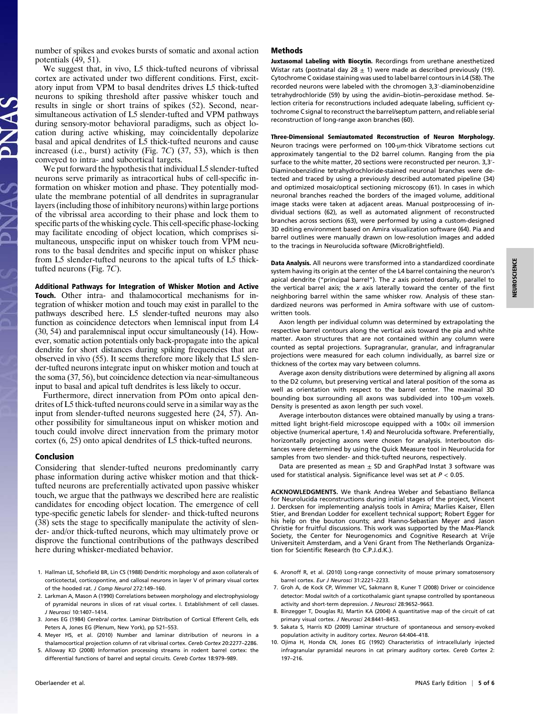number of spikes and evokes bursts of somatic and axonal action potentials (49, 51).

We suggest that, in vivo, L5 thick-tufted neurons of vibrissal cortex are activated under two different conditions. First, excitatory input from VPM to basal dendrites drives L5 thick-tufted neurons to spiking threshold after passive whisker touch and results in single or short trains of spikes (52). Second, nearsimultaneous activation of L5 slender-tufted and VPM pathways during sensory-motor behavioral paradigms, such as object location during active whisking, may coincidentally depolarize basal and apical dendrites of L5 thick-tufted neurons and cause increased (i.e., burst) activity (Fig. 7C) (37, 53), which is then conveyed to intra- and subcortical targets.

We put forward the hypothesis that individual L5 slender-tufted neurons serve primarily as intracortical hubs of cell-specific information on whisker motion and phase. They potentially modulate the membrane potential of all dendrites in supragranular layers (including those of inhibitory neurons) within large portions of the vibrissal area according to their phase and lock them to specific parts of the whisking cycle. This cell-specific phase-locking may facilitate encoding of object location, which comprises simultaneous, unspecific input on whisker touch from VPM neurons to the basal dendrites and specific input on whisker phase from L5 slender-tufted neurons to the apical tufts of L5 thicktufted neurons (Fig. 7C).

Additional Pathways for Integration of Whisker Motion and Active Touch. Other intra- and thalamocortical mechanisms for integration of whisker motion and touch may exist in parallel to the pathways described here. L5 slender-tufted neurons may also function as coincidence detectors when lemniscal input from L4 (30, 54) and paralemniscal input occur simultaneously (14). However, somatic action potentials only back-propagate into the apical dendrite for short distances during spiking frequencies that are observed in vivo (55). It seems therefore more likely that L5 slender-tufted neurons integrate input on whisker motion and touch at the soma (37, 56), but coincidence detection via near-simultaneous input to basal and apical tuft dendrites is less likely to occur.

Furthermore, direct innervation from POm onto apical dendrites of L5 thick-tufted neurons could serve in a similar way as the input from slender-tufted neurons suggested here (24, 57). Another possibility for simultaneous input on whisker motion and touch could involve direct innervation from the primary motor cortex (6, 25) onto apical dendrites of L5 thick-tufted neurons.

#### Conclusion

Considering that slender-tufted neurons predominantly carry phase information during active whisker motion and that thicktufted neurons are preferentially activated upon passive whisker touch, we argue that the pathways we described here are realistic candidates for encoding object location. The emergence of cell type-specific genetic labels for slender- and thick-tufted neurons (38) sets the stage to specifically manipulate the activity of slender- and/or thick-tufted neurons, which may ultimately prove or disprove the functional contributions of the pathways described here during whisker-mediated behavior.

- 1. Hallman LE, Schofield BR, Lin CS (1988) Dendritic morphology and axon collaterals of corticotectal, corticopontine, and callosal neurons in layer V of primary visual cortex of the hooded rat. J Comp Neurol 272:149–160.
- 2. Larkman A, Mason A (1990) Correlations between morphology and electrophysiology of pyramidal neurons in slices of rat visual cortex. I. Establishment of cell classes. J Neurosci 10:1407–1414.
- 3. Jones EG (1984) Cerebral cortex. Laminar Distribution of Cortical Efferent Cells, eds Peters A, Jones EG (Plenum, New York), pp 521–553.
- 4. Meyer HS, et al. (2010) Number and laminar distribution of neurons in a thalamocortical projection column of rat vibrissal cortex. Cereb Cortex 20:2277–2286.
- 5. Alloway KD (2008) Information processing streams in rodent barrel cortex: the differential functions of barrel and septal circuits. Cereb Cortex 18:979–989.

## Methods

Juxtasomal Labeling with Biocytin. Recordings from urethane anesthetized Wistar rats (postnatal day 28  $\pm$  1) were made as described previously (19). Cytochrome C oxidase staining was used to label barrel contours in L4 (58). The recorded neurons were labeled with the chromogen 3,3′-diaminobenzidine tetrahydrochloride (59) by using the avidin–biotin–peroxidase method. Selection criteria for reconstructions included adequate labeling, sufficient cytochrome C signal to reconstruct the barrel/septum pattern, and reliable serial reconstruction of long-range axon branches (60).

Three-Dimensional Semiautomated Reconstruction of Neuron Morphology. Neuron tracings were performed on 100-μm-thick Vibratome sections cut approximately tangential to the D2 barrel column. Ranging from the pia surface to the white matter, 20 sections were reconstructed per neuron. 3,3′- Diaminobenzidine tetrahydrochloride-stained neuronal branches were detected and traced by using a previously described automated pipeline (34) and optimized mosaic/optical sectioning microscopy (61). In cases in which neuronal branches reached the borders of the imaged volume, additional image stacks were taken at adjacent areas. Manual postprocessing of individual sections (62), as well as automated alignment of reconstructed branches across sections (63), were performed by using a custom-designed 3D editing environment based on Amira visualization software (64). Pia and barrel outlines were manually drawn on low-resolution images and added to the tracings in Neurolucida software (MicroBrightfield).

Data Analysis. All neurons were transformed into a standardized coordinate system having its origin at the center of the L4 barrel containing the neuron's apical dendrite ("principal barrel"). The z axis pointed dorsally, parallel to the vertical barrel axis; the  $x$  axis laterally toward the center of the first neighboring barrel within the same whisker row. Analysis of these standardized neurons was performed in Amira software with use of customwritten tools.

Axon length per individual column was determined by extrapolating the respective barrel contours along the vertical axis toward the pia and white matter. Axon structures that are not contained within any column were counted as septal projections. Supragranular, granular, and infragranular projections were measured for each column individually, as barrel size or thickness of the cortex may vary between columns.

Average axon density distributions were determined by aligning all axons to the D2 column, but preserving vertical and lateral position of the soma as well as orientation with respect to the barrel center. The maximal 3D bounding box surrounding all axons was subdivided into 100-μm voxels. Density is presented as axon length per such voxel.

Average interbouton distances were obtained manually by using a transmitted light bright-field microscope equipped with a  $100 \times$  oil immersion objective (numerical aperture, 1.4) and Neurolucida software. Preferentially, horizontally projecting axons were chosen for analysis. Interbouton distances were determined by using the Quick Measure tool in Neurolucida for samples from two slender- and thick-tufted neurons, respectively.

Data are presented as mean  $\pm$  SD and GraphPad Instat 3 software was used for statistical analysis. Significance level was set at  $P < 0.05$ .

ACKNOWLEDGMENTS. We thank Andrea Weber and Sebastiano Bellanca for Neurolucida reconstructions during initial stages of the project, Vincent J. Dercksen for implementing analysis tools in Amira; Marlies Kaiser, Ellen Stier, and Brendan Lodder for excellent technical support; Robert Egger for his help on the bouton counts; and Hanno-Sebastian Meyer and Jason Christie for fruitful discussions. This work was supported by the Max-Planck Society, the Center for Neurogenomics and Cognitive Research at Vrije Universiteit Amsterdam, and a Veni Grant from The Netherlands Organization for Scientific Research (to C.P.J.d.K.).

- 6. Aronoff R, et al. (2010) Long-range connectivity of mouse primary somatosensory barrel cortex. Eur J Neurosci 31:2221–2233.
- 7. Groh A, de Kock CP, Wimmer VC, Sakmann B, Kuner T (2008) Driver or coincidence detector: Modal switch of a corticothalamic giant synapse controlled by spontaneous activity and short-term depression. J Neurosci 28:9652–9663.
- 8. Binzegger T, Douglas RJ, Martin KA (2004) A quantitative map of the circuit of cat primary visual cortex. J Neurosci 24:8441–8453.
- 9. Sakata S, Harris KD (2009) Laminar structure of spontaneous and sensory-evoked population activity in auditory cortex. Neuron 64:404–418.
- 10. Ojima H, Honda CN, Jones EG (1992) Characteristics of intracellularly injected infragranular pyramidal neurons in cat primary auditory cortex. Cereb Cortex 2: 197–216.